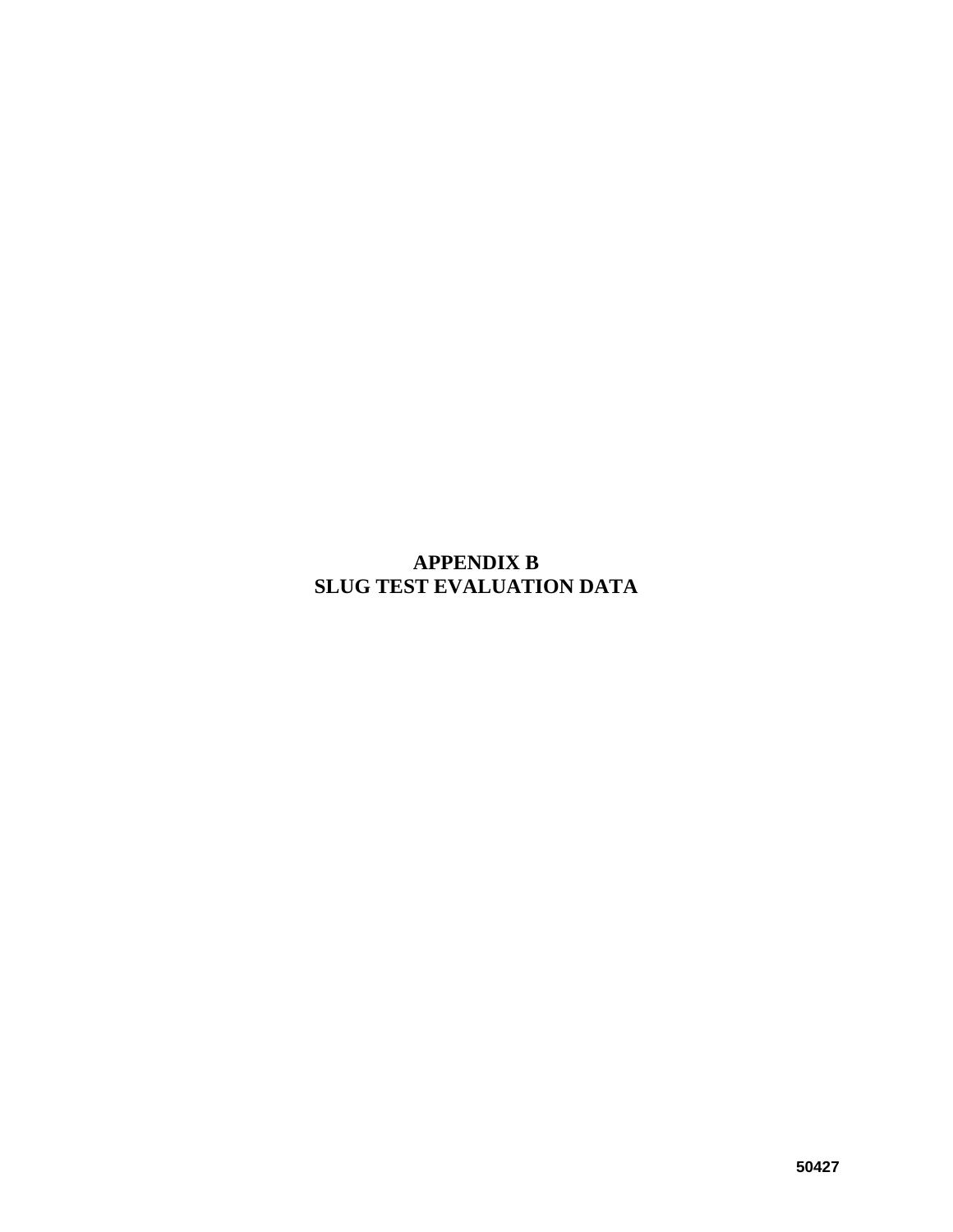## **APPENDIX B SLUG TEST EVALUATION DATA**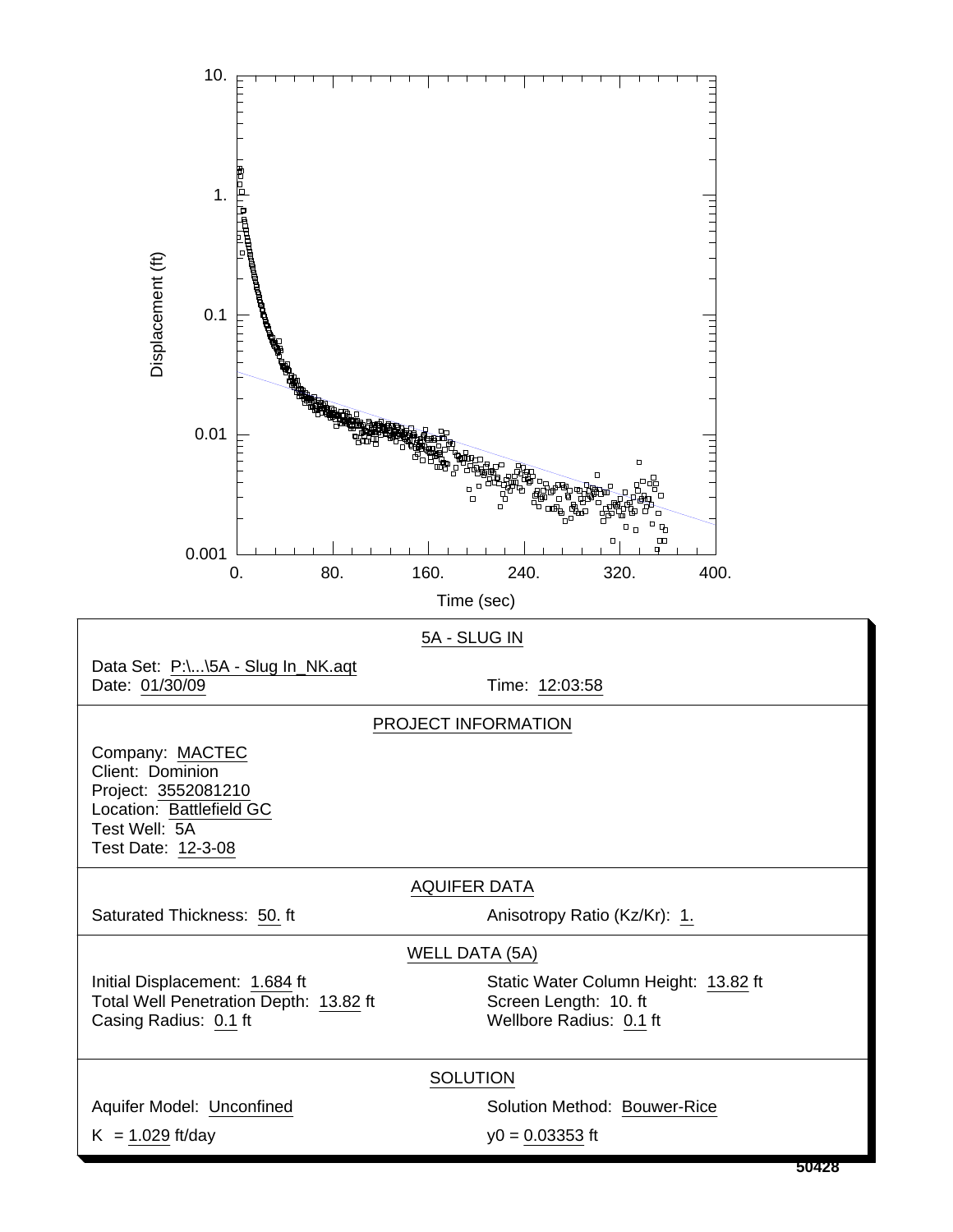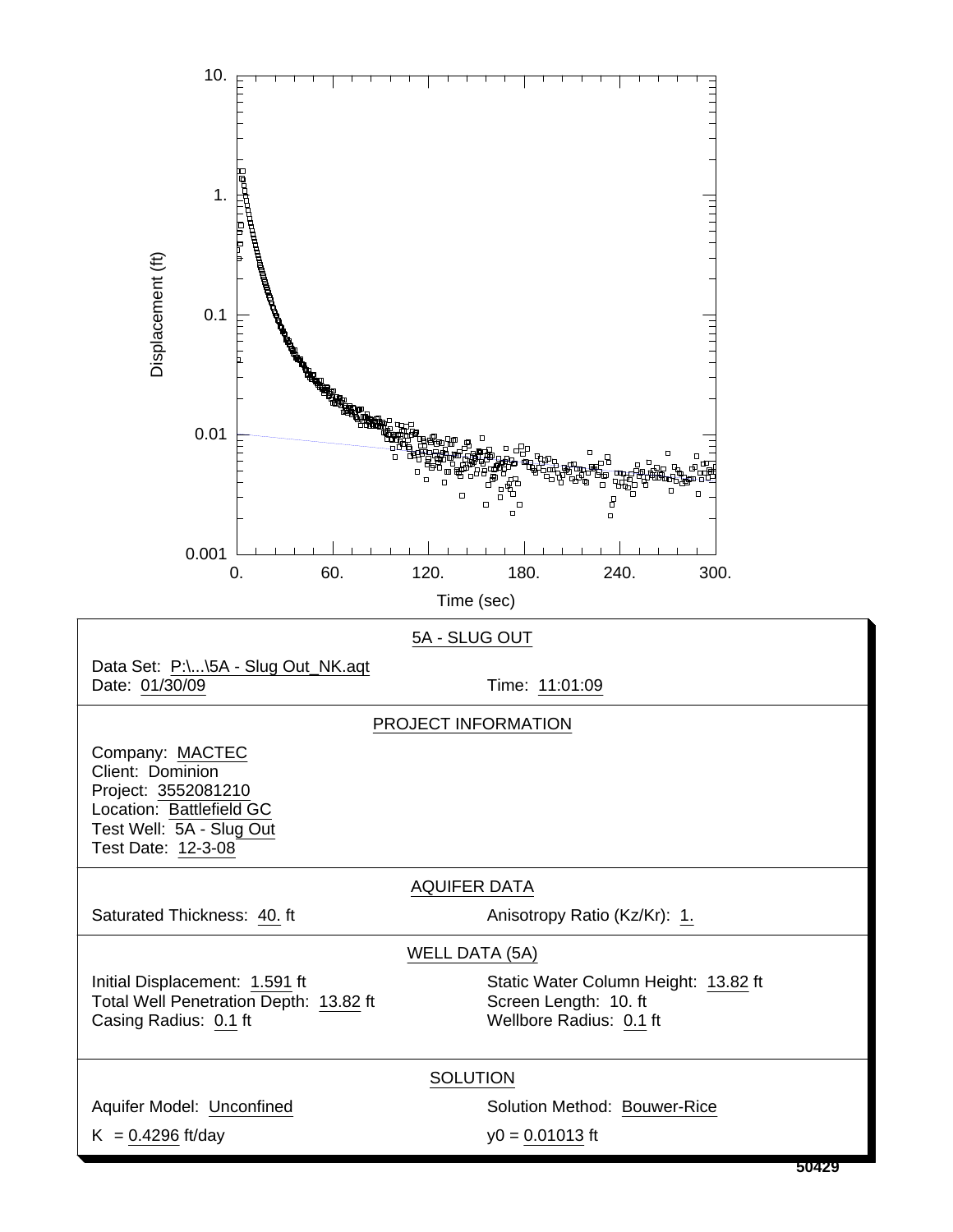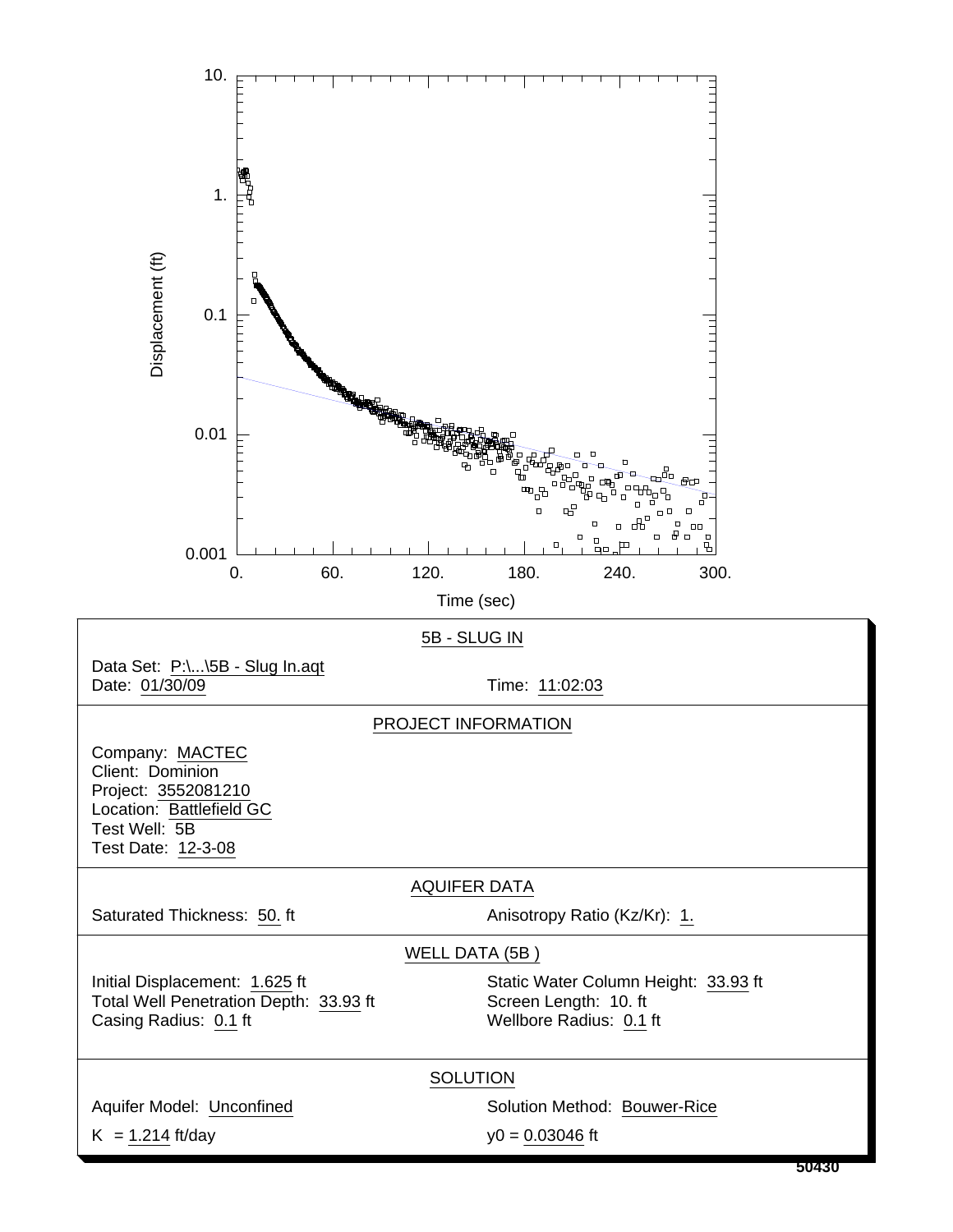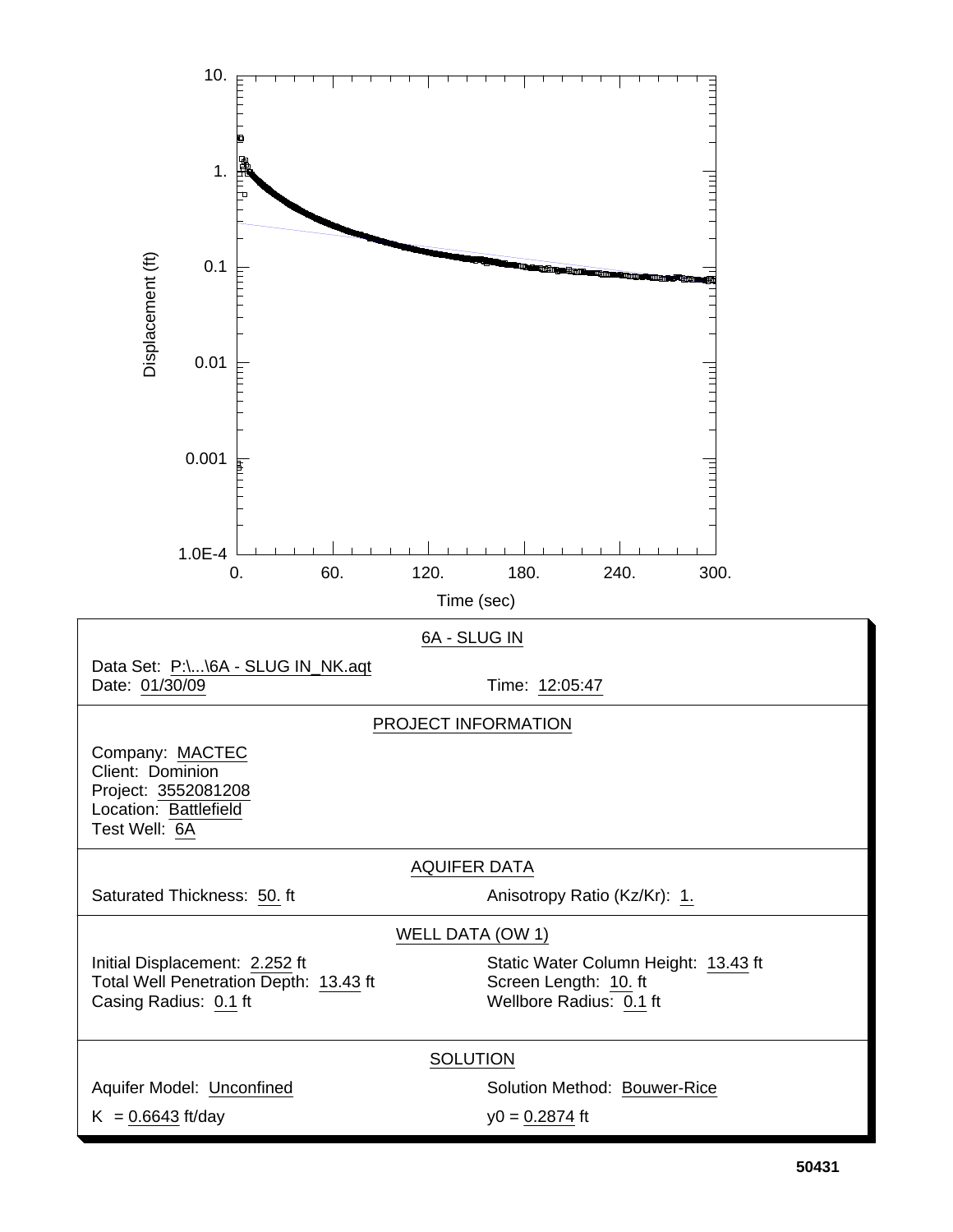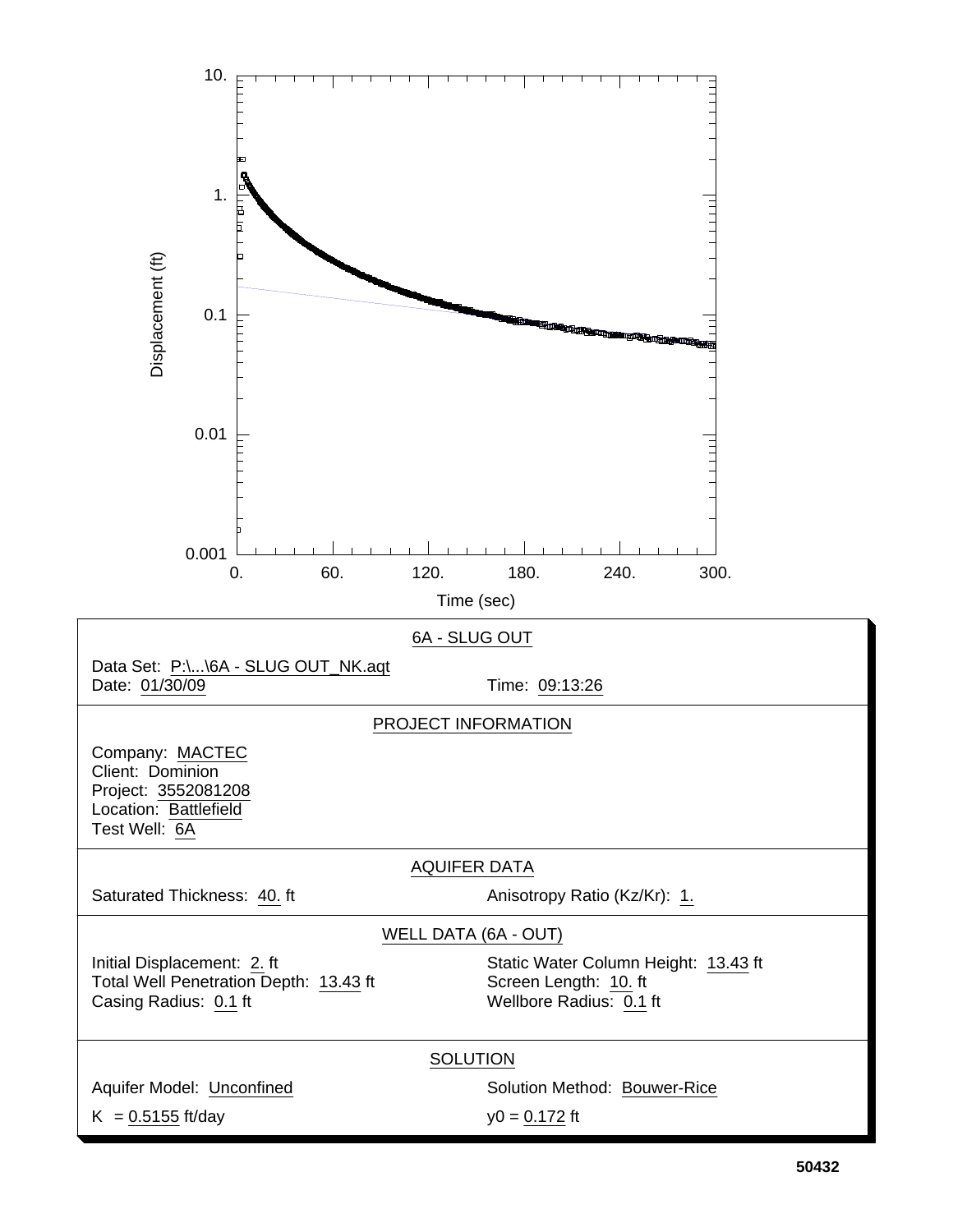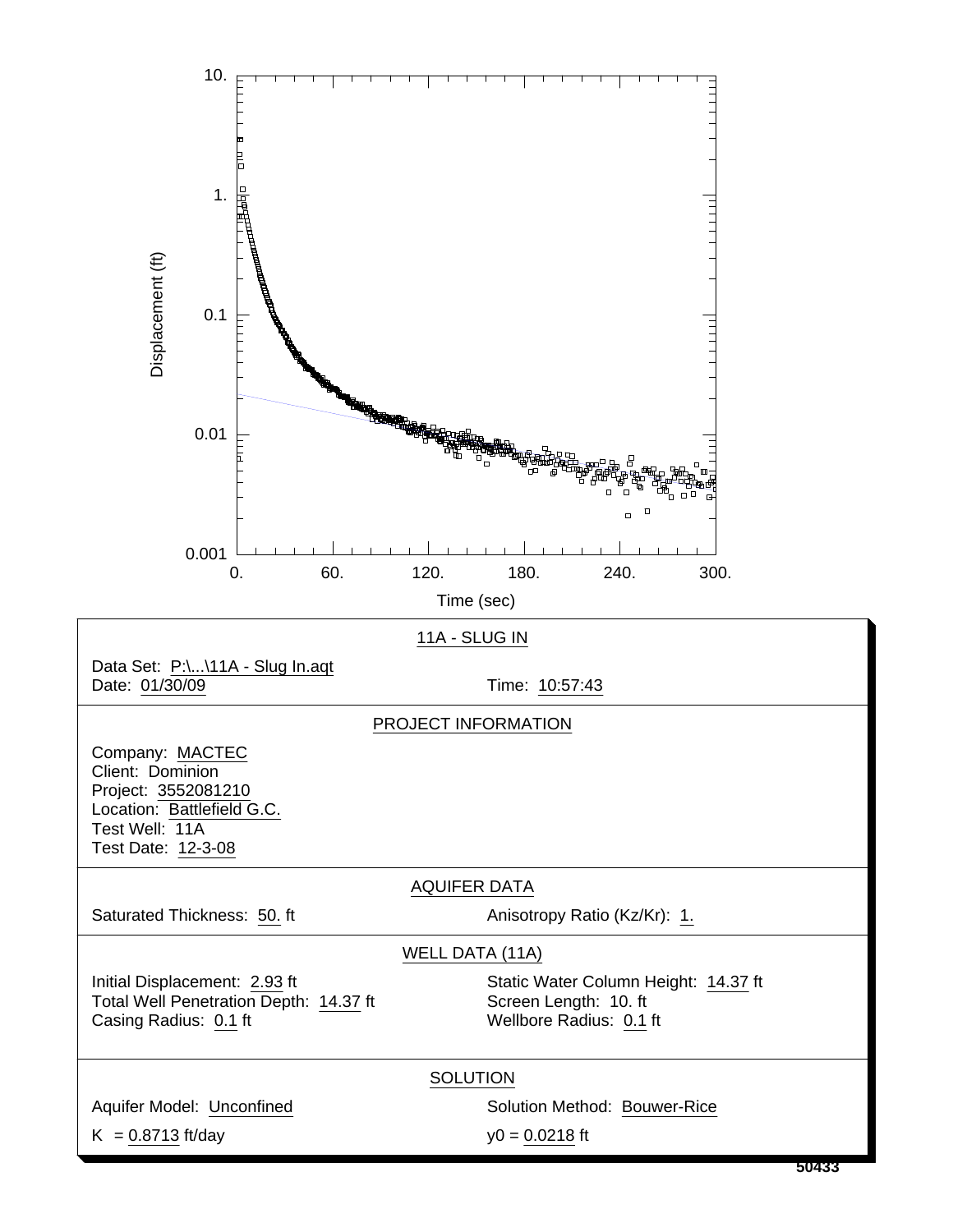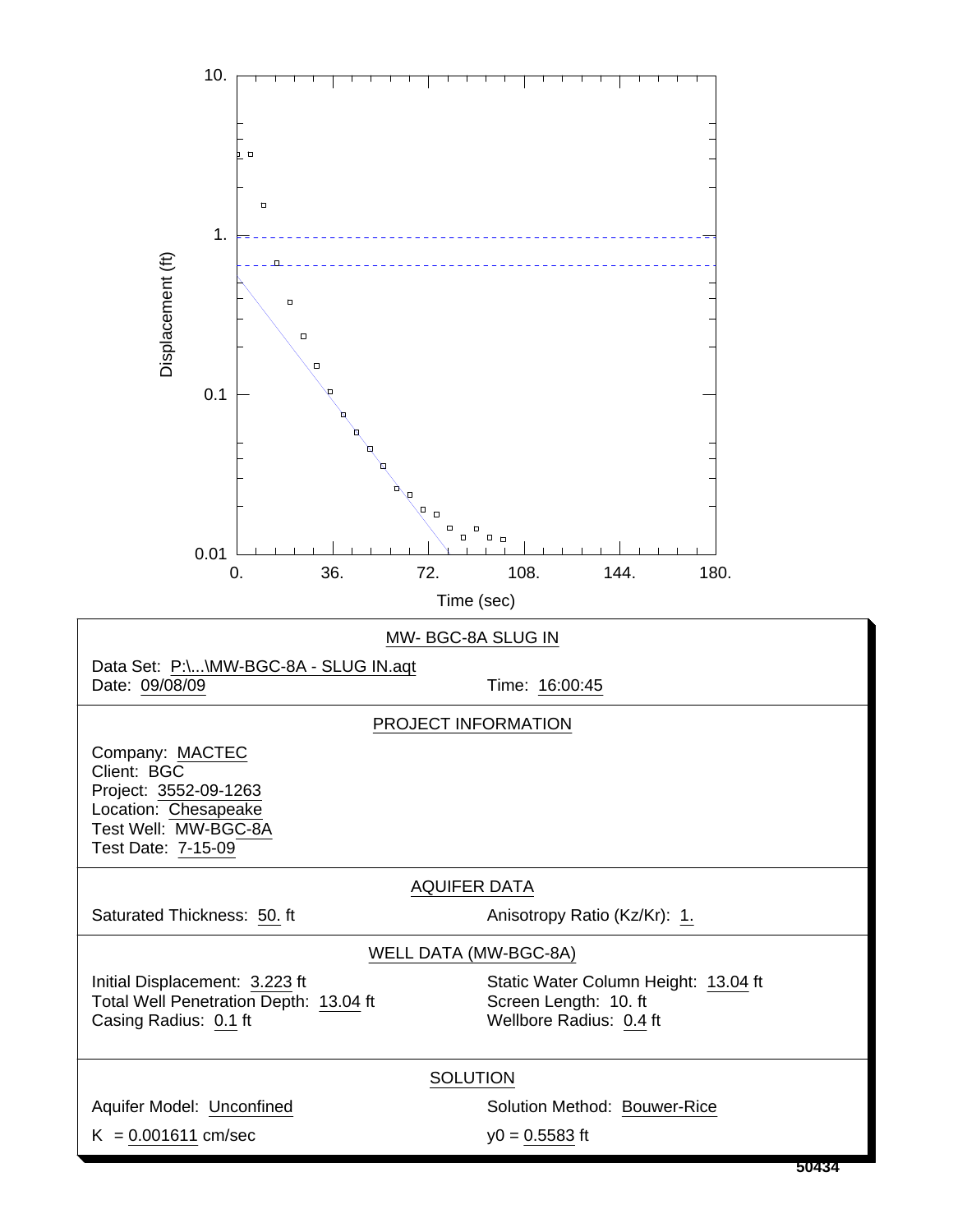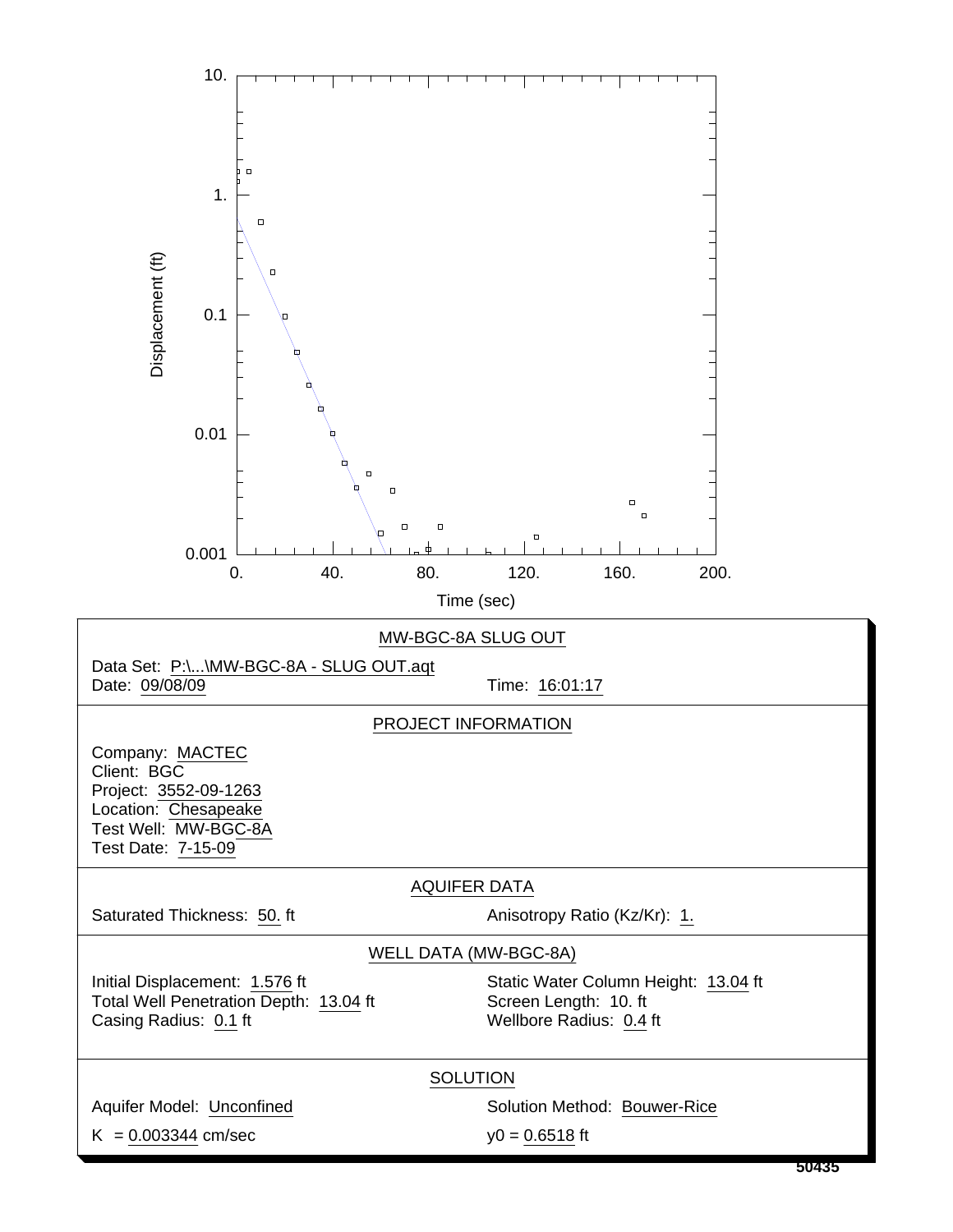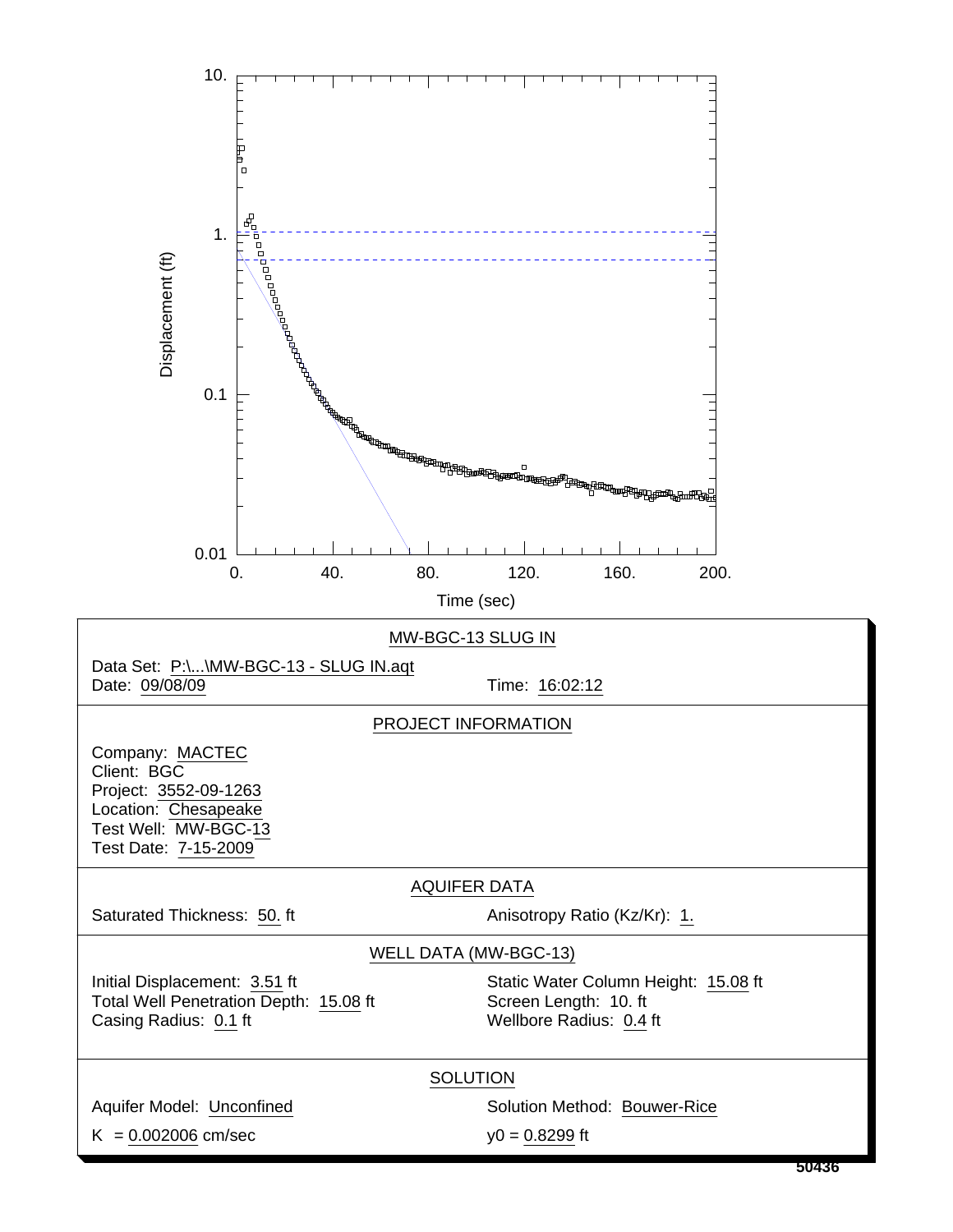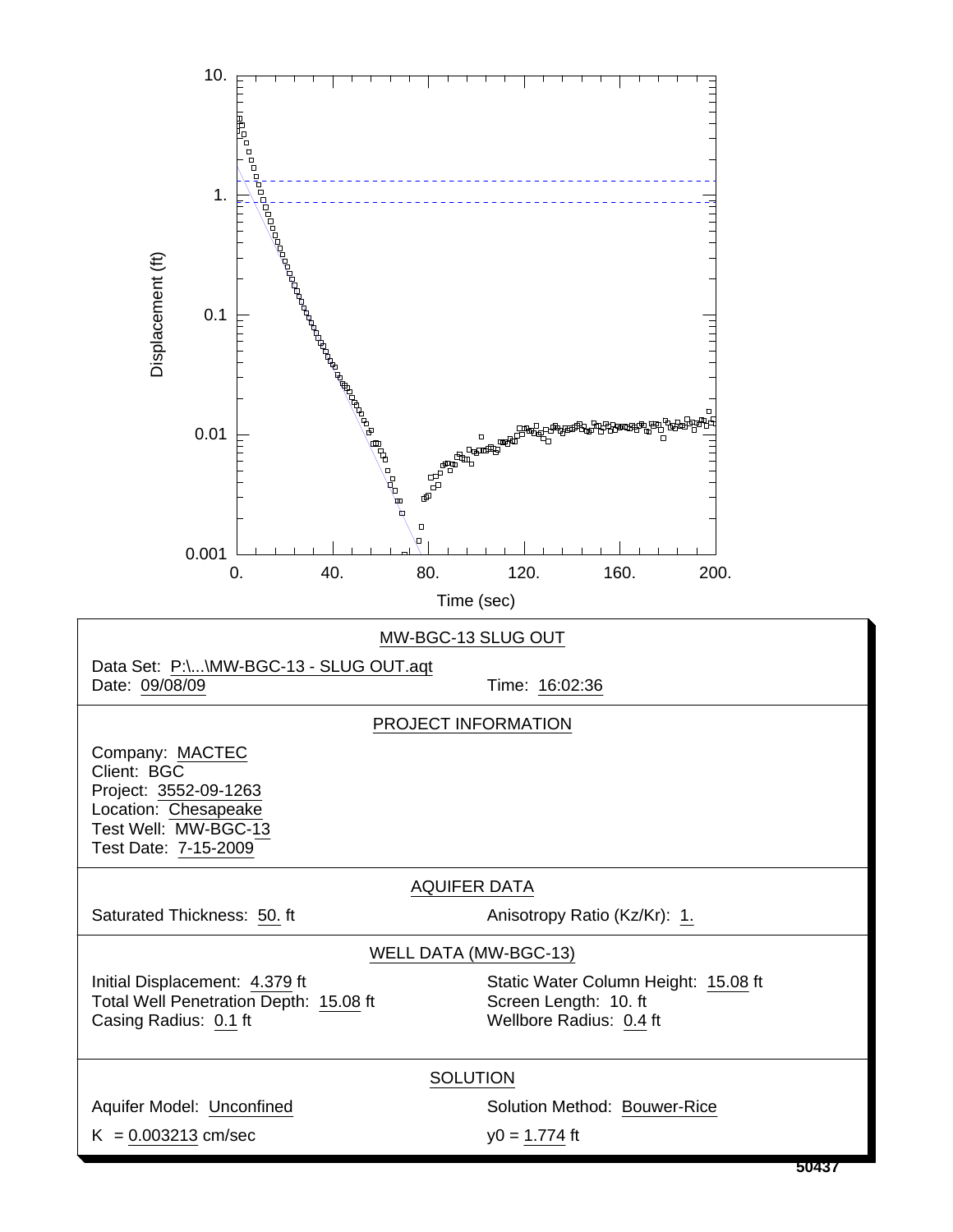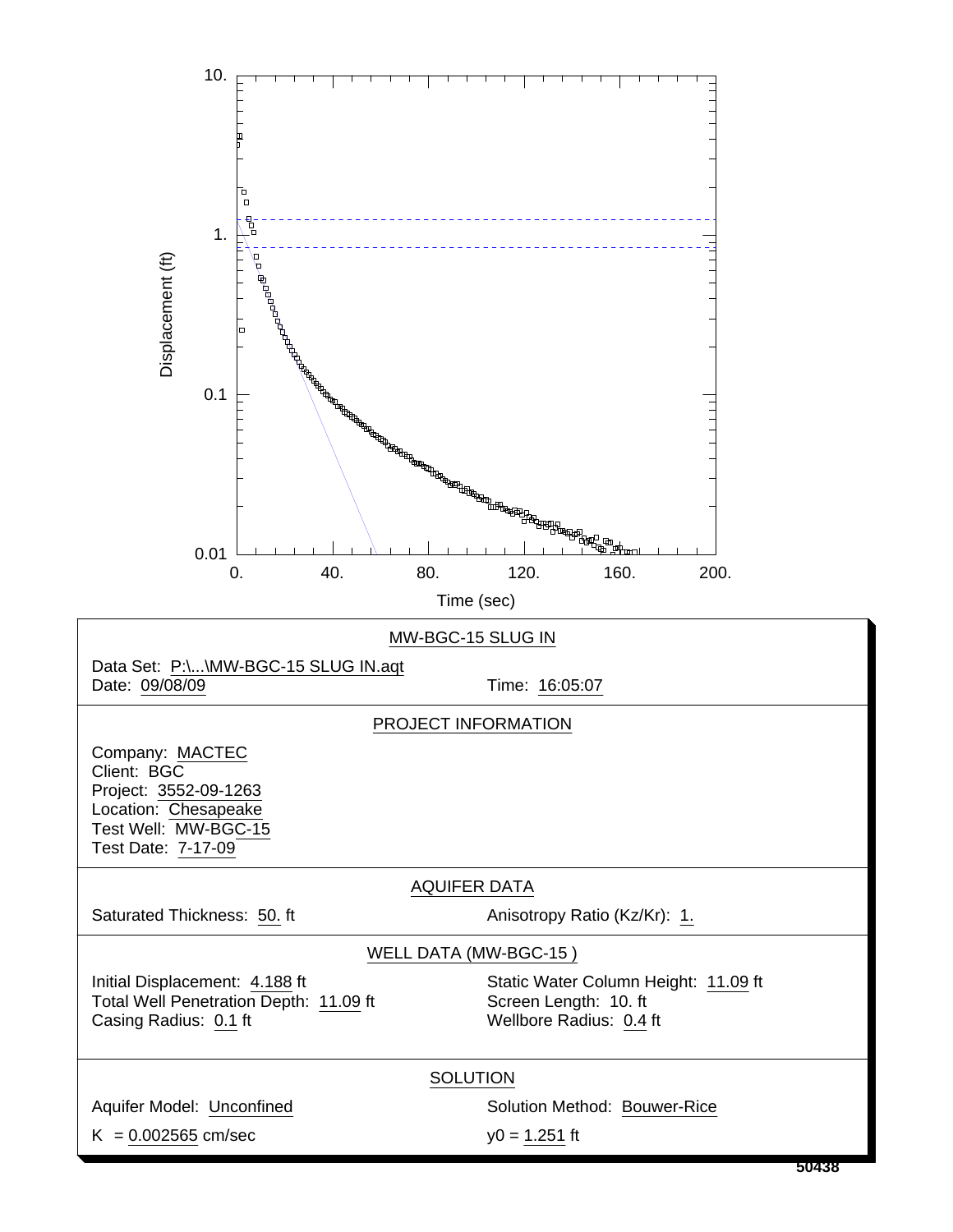